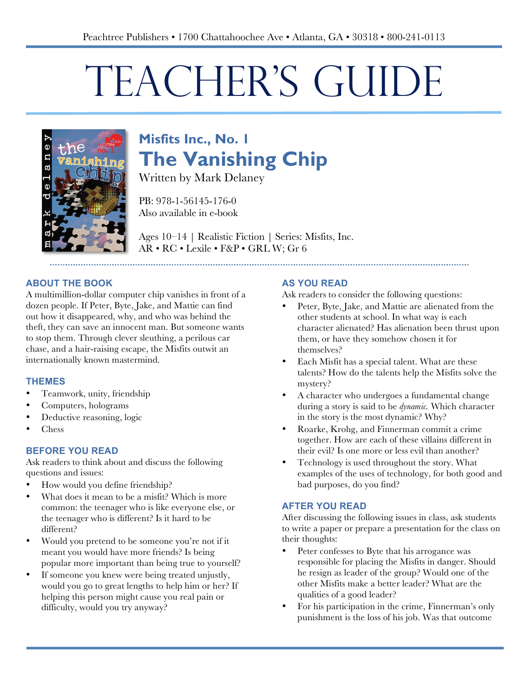# TEACHER'S GUIDE



# **Misfits Inc., No. 1 The Vanishing Chip**

Written by Mark Delaney

PB: 978-1-56145-176-0 Also available in e-book

Ages 10–14 | Realistic Fiction | Series: Misfits, Inc. AR • RC • Lexile • F&P • GRL W; Gr 6

#### **ABOUT THE BOOK**

A multimillion-dollar computer chip vanishes in front of a dozen people. If Peter, Byte, Jake, and Mattie can find out how it disappeared, why, and who was behind the theft, they can save an innocent man. But someone wants to stop them. Through clever sleuthing, a perilous car chase, and a hair-raising escape, the Misfits outwit an internationally known mastermind.

#### **THEMES**

- Teamwork, unity, friendship
- Computers, holograms
- Deductive reasoning, logic
- Chess

#### **BEFORE YOU READ**

Ask readers to think about and discuss the following questions and issues:

- How would you define friendship?
- What does it mean to be a misfit? Which is more common: the teenager who is like everyone else, or the teenager who is different? Is it hard to be different?
- Would you pretend to be someone you're not if it meant you would have more friends? Is being popular more important than being true to yourself?
- If someone you knew were being treated unjustly, would you go to great lengths to help him or her? If helping this person might cause you real pain or difficulty, would you try anyway?

#### **AS YOU READ**

Ask readers to consider the following questions:

- Peter, Byte, Jake, and Mattie are alienated from the other students at school. In what way is each character alienated? Has alienation been thrust upon them, or have they somehow chosen it for themselves?
- Each Misfit has a special talent. What are these talents? How do the talents help the Misfits solve the mystery?
- A character who undergoes a fundamental change during a story is said to be *dynamic.* Which character in the story is the most dynamic? Why?
- Roarke, Krohg, and Finnerman commit a crime together. How are each of these villains different in their evil? Is one more or less evil than another?
- Technology is used throughout the story. What examples of the uses of technology, for both good and bad purposes, do you find?

#### **AFTER YOU READ**

After discussing the following issues in class, ask students to write a paper or prepare a presentation for the class on their thoughts:

- Peter confesses to Byte that his arrogance was responsible for placing the Misfits in danger. Should he resign as leader of the group? Would one of the other Misfits make a better leader? What are the qualities of a good leader?
- For his participation in the crime, Finnerman's only punishment is the loss of his job. Was that outcome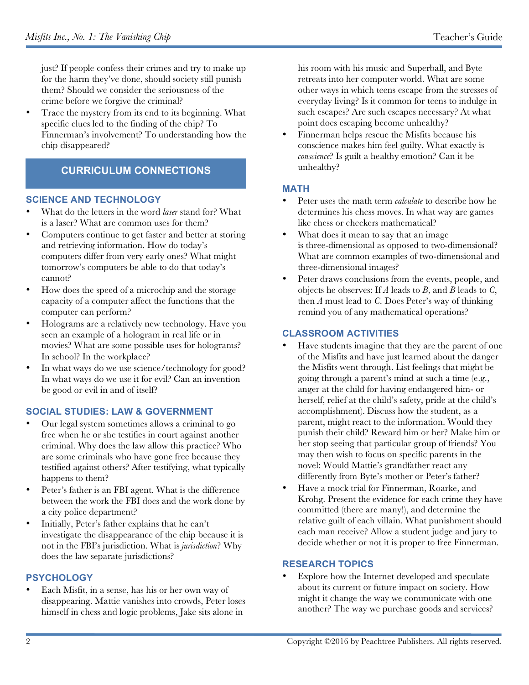just? If people confess their crimes and try to make up for the harm they've done, should society still punish them? Should we consider the seriousness of the crime before we forgive the criminal?

• Trace the mystery from its end to its beginning. What specific clues led to the finding of the chip? To Finnerman's involvement? To understanding how the chip disappeared?

### **CURRICULUM CONNECTIONS**

#### **SCIENCE AND TECHNOLOGY**

- What do the letters in the word *laser* stand for? What is a laser? What are common uses for them?
- Computers continue to get faster and better at storing and retrieving information. How do today's computers differ from very early ones? What might tomorrow's computers be able to do that today's cannot?
- How does the speed of a microchip and the storage capacity of a computer affect the functions that the computer can perform?
- Holograms are a relatively new technology. Have you seen an example of a hologram in real life or in movies? What are some possible uses for holograms? In school? In the workplace?
- In what ways do we use science/technology for good? In what ways do we use it for evil? Can an invention be good or evil in and of itself?

#### **SOCIAL STUDIES: LAW & GOVERNMENT**

- Our legal system sometimes allows a criminal to go free when he or she testifies in court against another criminal. Why does the law allow this practice? Who are some criminals who have gone free because they testified against others? After testifying, what typically happens to them?
- Peter's father is an FBI agent. What is the difference between the work the FBI does and the work done by a city police department?
- Initially, Peter's father explains that he can't investigate the disappearance of the chip because it is not in the FBI's jurisdiction. What is *jurisdiction*? Why does the law separate jurisdictions?

#### **PSYCHOLOGY**

• Each Misfit, in a sense, has his or her own way of disappearing. Mattie vanishes into crowds, Peter loses himself in chess and logic problems, Jake sits alone in

his room with his music and Superball, and Byte retreats into her computer world. What are some other ways in which teens escape from the stresses of everyday living? Is it common for teens to indulge in such escapes? Are such escapes necessary? At what point does escaping become unhealthy?

• Finnerman helps rescue the Misfits because his conscience makes him feel guilty. What exactly is *conscience*? Is guilt a healthy emotion? Can it be unhealthy?

#### **MATH**

- Peter uses the math term *calculate* to describe how he determines his chess moves. In what way are games like chess or checkers mathematical?
- What does it mean to say that an image is three-dimensional as opposed to two-dimensional? What are common examples of two-dimensional and three-dimensional images?
- Peter draws conclusions from the events, people, and objects he observes: If *A* leads to *B*, and *B* leads to *C*, then *A* must lead to *C*. Does Peter's way of thinking remind you of any mathematical operations?

#### **CLASSROOM ACTIVITIES**

- Have students imagine that they are the parent of one of the Misfits and have just learned about the danger the Misfits went through. List feelings that might be going through a parent's mind at such a time (e.g., anger at the child for having endangered him- or herself, relief at the child's safety, pride at the child's accomplishment). Discuss how the student, as a parent, might react to the information. Would they punish their child? Reward him or her? Make him or her stop seeing that particular group of friends? You may then wish to focus on specific parents in the novel: Would Mattie's grandfather react any differently from Byte's mother or Peter's father?
- Have a mock trial for Finnerman, Roarke, and Krohg. Present the evidence for each crime they have committed (there are many!), and determine the relative guilt of each villain. What punishment should each man receive? Allow a student judge and jury to decide whether or not it is proper to free Finnerman.

#### **RESEARCH TOPICS**

Explore how the Internet developed and speculate about its current or future impact on society. How might it change the way we communicate with one another? The way we purchase goods and services?